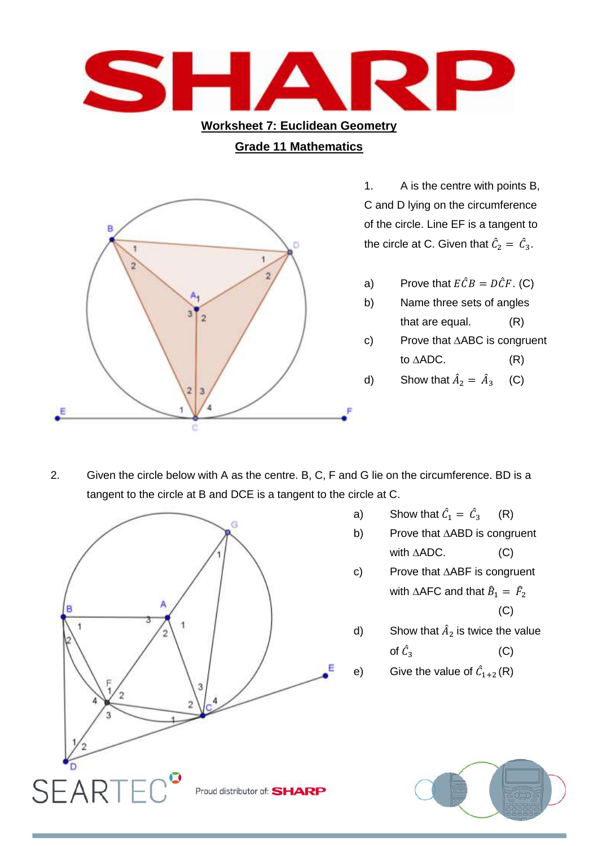

2. Given the circle below with A as the centre. B, C, F and G lie on the circumference. BD is a tangent to the circle at B and DCE is a tangent to the circle at C.



- a) Show that  $\hat{C}_1 = \hat{C}$ (R)
- b) Prove that ∆ABD is congruent with  $\triangle ADC$ . (C)
- c) Prove that ∆ABF is congruent with ∆AFC and that  $\widehat{B}_1 = \widehat{F}_2$ (C)
- d) Show that  $\hat{A}_2$  is twice the value of  $\hat{C}_3$ (C)
- e) Give the value of  $\hat{C}_{1+2}(\mathsf{R})$

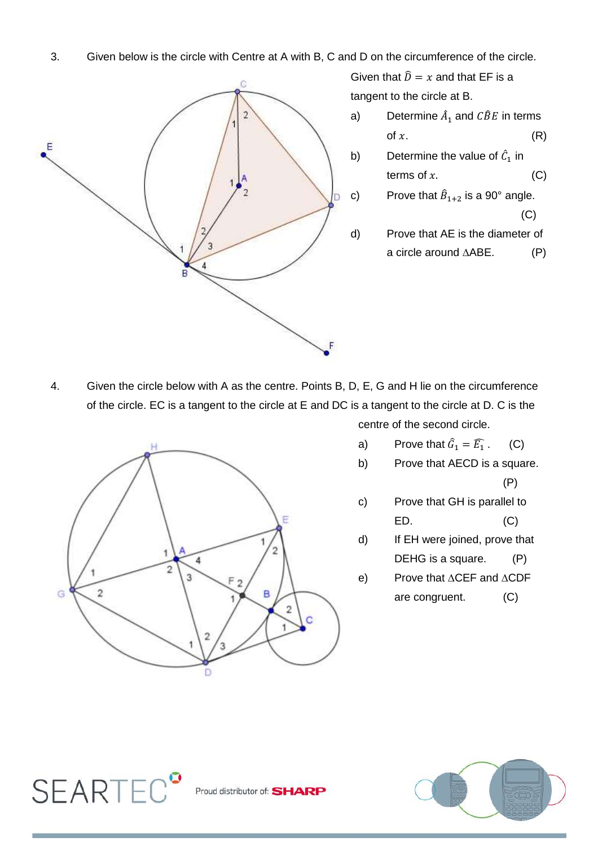3. Given below is the circle with Centre at A with B, C and D on the circumference of the circle.



Given that  $\hat{D} = x$  and that EF is a tangent to the circle at B.

- a) Determine  $\hat{A}_1$  and  $\hat{CBE}$  in terms of  $x$ .  $(R)$
- b) Determine the value of  $\hat{C}_1$  in terms of  $x$ . (C)
- c) Prove that  $\widehat{B}_{1+2}$  is a 90° angle. (C)
- d) Prove that AE is the diameter of a circle around ∆ABE. (P)

4. Given the circle below with A as the centre. Points B, D, E, G and H lie on the circumference of the circle. EC is a tangent to the circle at E and DC is a tangent to the circle at D. C is the



- a) Prove that  $\widehat{G}_1 = \widehat{E_1}$ . (C)
- b) Prove that AECD is a square. (P)
- c) Prove that GH is parallel to ED. (C)
- d) If EH were joined, prove that DEHG is a square. (P)
- e) Prove that ∆CEF and ∆CDF are congruent. (C)



Proud distributor of: **SHARP** 

**SEARTEC<sup>°</sup>**